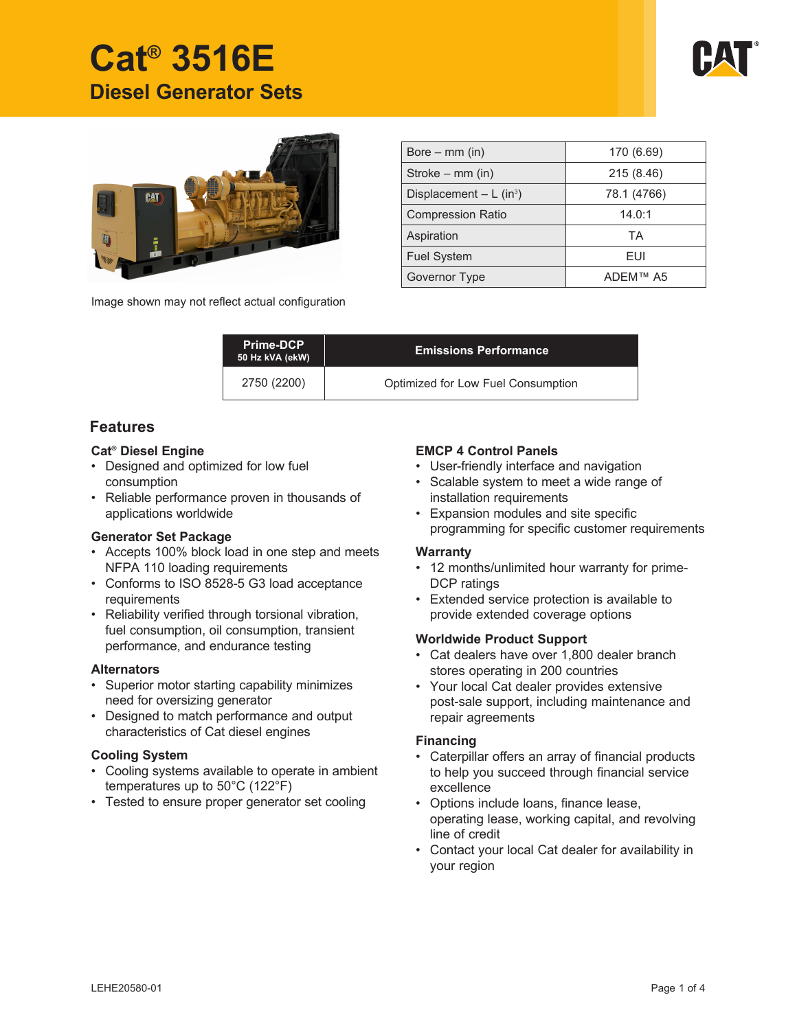# **Cat® 3516E Diesel Generator Sets**





| Bore $-$ mm (in)                      | 170 (6.69)  |  |  |
|---------------------------------------|-------------|--|--|
| Stroke $-$ mm (in)                    | 215 (8.46)  |  |  |
| Displacement $- L$ (in <sup>3</sup> ) | 78.1 (4766) |  |  |
| <b>Compression Ratio</b>              | 14.0:1      |  |  |
| Aspiration                            | TA          |  |  |
| <b>Fuel System</b>                    | EUI         |  |  |
| Governor Type                         | ADFM™ A5    |  |  |

Image shown may not reflect actual configuration

| <b>Prime-DCP</b><br>50 Hz kVA (ekW) | <b>Emissions Performance</b>       |  |
|-------------------------------------|------------------------------------|--|
| 2750 (2200)                         | Optimized for Low Fuel Consumption |  |

#### **Features**

#### **Cat® Diesel Engine**

- Designed and optimized for low fuel consumption
- Reliable performance proven in thousands of applications worldwide

#### **Generator Set Package**

- Accepts 100% block load in one step and meets NFPA 110 loading requirements
- Conforms to ISO 8528-5 G3 load acceptance requirements
- Reliability verified through torsional vibration, fuel consumption, oil consumption, transient performance, and endurance testing

#### **Alternators**

- Superior motor starting capability minimizes need for oversizing generator
- Designed to match performance and output characteristics of Cat diesel engines

#### **Cooling System**

- Cooling systems available to operate in ambient temperatures up to 50°C (122°F)
- Tested to ensure proper generator set cooling

#### **EMCP 4 Control Panels**

- User-friendly interface and navigation
- Scalable system to meet a wide range of installation requirements
- Expansion modules and site specific programming for specific customer requirements

#### **Warranty**

- 12 months/unlimited hour warranty for prime-DCP ratings
- Extended service protection is available to provide extended coverage options

#### **Worldwide Product Support**

- Cat dealers have over 1,800 dealer branch stores operating in 200 countries
- Your local Cat dealer provides extensive post-sale support, including maintenance and repair agreements

#### **Financing**

- Caterpillar offers an array of financial products to help you succeed through financial service excellence
- Options include loans, finance lease, operating lease, working capital, and revolving line of credit
- Contact your local Cat dealer for availability in your region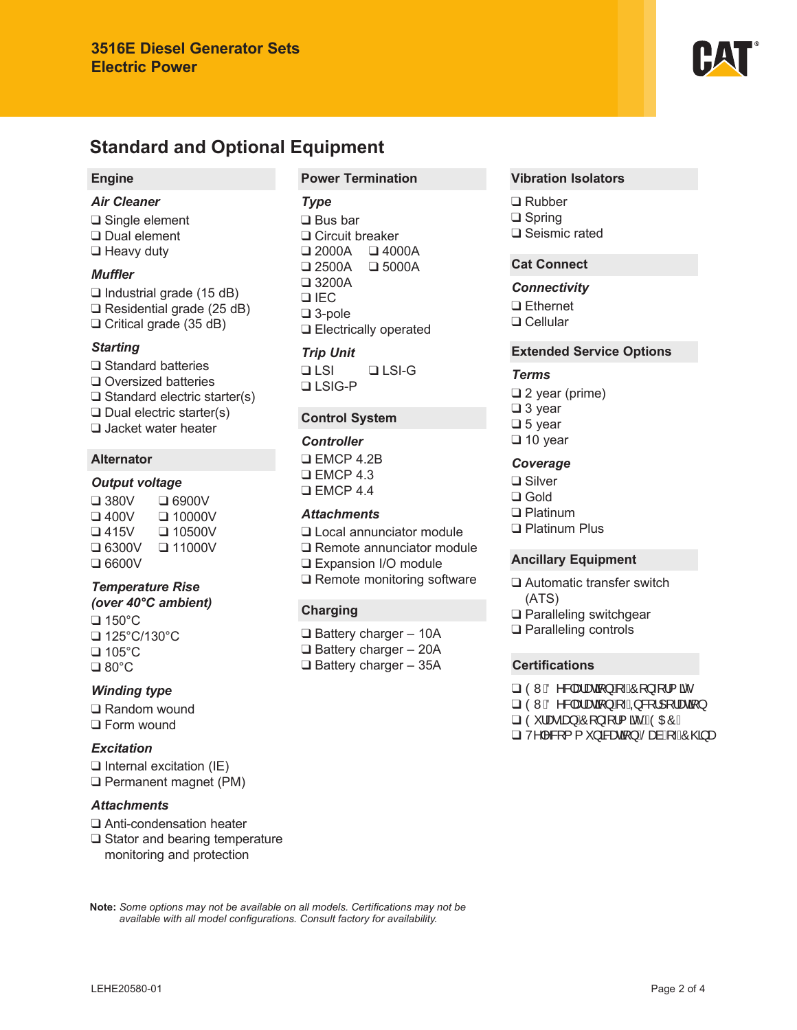

# **Standard and Optional Equipment**

#### **Engine**

#### *Air Cleaner*

❑ Single element ❑ Dual element ❑ Heavy duty

#### *Muffler*

❑ Industrial grade (15 dB) ❑ Residential grade (25 dB) ❑ Critical grade (35 dB)

#### *Starting*

❑ Standard batteries ❑ Oversized batteries ❑ Standard electric starter(s) ❑ Dual electric starter(s) ❑ Jacket water heater

#### **Alternator**

#### *Output voltage*

❑ 380V ❑ 6900V ❑ 400V ❑ 10000V ❑ 415V ❑ 10500V ❑ 6300V ❑ 11000V ❑ 6600V

### *Temperature Rise*

# *(over 40°C ambient)*

❑ 150°C ❑ 125°C/130°C ❑ 105°C ❑ 80°C

#### *Winding type*

❑ Random wound ❑ Form wound

#### *Excitation*

❑ Internal excitation (IE) ❑ Permanent magnet (PM)

#### *Attachments*

- ❑ Anti-condensation heater
- ❑ Stator and bearing temperature monitoring and protection

#### **Power Termination**

#### *Type*

❑ Bus bar ❑ Circuit breaker ❑ 2000A ❑ 4000A  $\square$  2500A ❑ 3200A ❑ IEC ❑ 3-pole ❑ Electrically operated

#### *Trip Unit*

❑ LSI ❑ LSI-G ❑ LSIG-P

#### **Control System**

#### *Controller*

❑ EMCP 4.2B ❑ EMCP 4.3 ❑ EMCP 4.4

#### *Attachments*

- ❑ Local annunciator module
- ❑ Remote annunciator module
- ❑ Expansion I/O module
- ❑ Remote monitoring software

#### **Charging**

❑ Battery charger – 10A ❑ Battery charger – 20A ❑ Battery charger – 35A

#### **Vibration Isolators**

❑ Rubber ❑ Spring ❑ Seismic rated

#### **Cat Connect**

#### *Connectivity*

❑ Ethernet ❑ Cellular

#### **Extended Service Options**

#### *Terms*

❑ 2 year (prime) ❑ 3 year ❑ 5 year ❑ 10 year

#### *Coverage*

❑ Silver ❑ Gold ❑ Platinum ❑ Platinum Plus

#### **Ancillary Equipment**

❑ Automatic transfer switch (ATS) ❑ Paralleling switchgear ❑ Paralleling controls

#### **Certifications**

 $\Box$   $\dot{O}$ WAÖ ^ & assacci $\delta$  }  $\Lambda$   $\hat{A}$ O [ }  $\frac{1}{2}$   $\frac{1}{2}$   $\frac{1}{2}$   $\frac{1}{2}$   $\frac{1}{2}$   $\frac{1}{2}$   $\frac{1}{2}$   $\frac{1}{2}$   $\frac{1}{2}$   $\frac{1}{2}$   $\frac{1}{2}$   $\frac{1}{2}$   $\frac{1}{2}$   $\frac{1}{2}$   $\frac{1}{2}$   $\frac{1}{2}$   $\frac{1}{2}$ ❑ (8'HFODUDWLRQRI,QFRUSRUDWLRQ  $\Box$   $\dot{O}'$   $\vdash$   $\mathbb{R}$   $\mathbb{R}$   $\mathbb{R}$   $\mathbb{R}$   $\mathbb{R}$   $\mathbb{R}$   $\mathbb{R}$   $\mathbb{R}$   $\mathbb{R}$   $\mathbb{R}$   $\mathbb{R}$   $\mathbb{R}$   $\mathbb{R}$   $\mathbb{R}$   $\mathbb{R}$   $\mathbb{R}$   $\mathbb{R}$   $\mathbb{R}$   $\mathbb{R}$   $\mathbb{R}$   $\mathbb{R}$   $\mathbb{R}$   $\mathbb$  $\Box$  V^|^&| {  $\degree$  } assemable  $\angle$  A  $\angle$   $\angle$   $\Diamond$   $\Diamond$  as

Note: Some options may not be available on all models. Certifications may not be available with all model configurations. Consult factory for availability.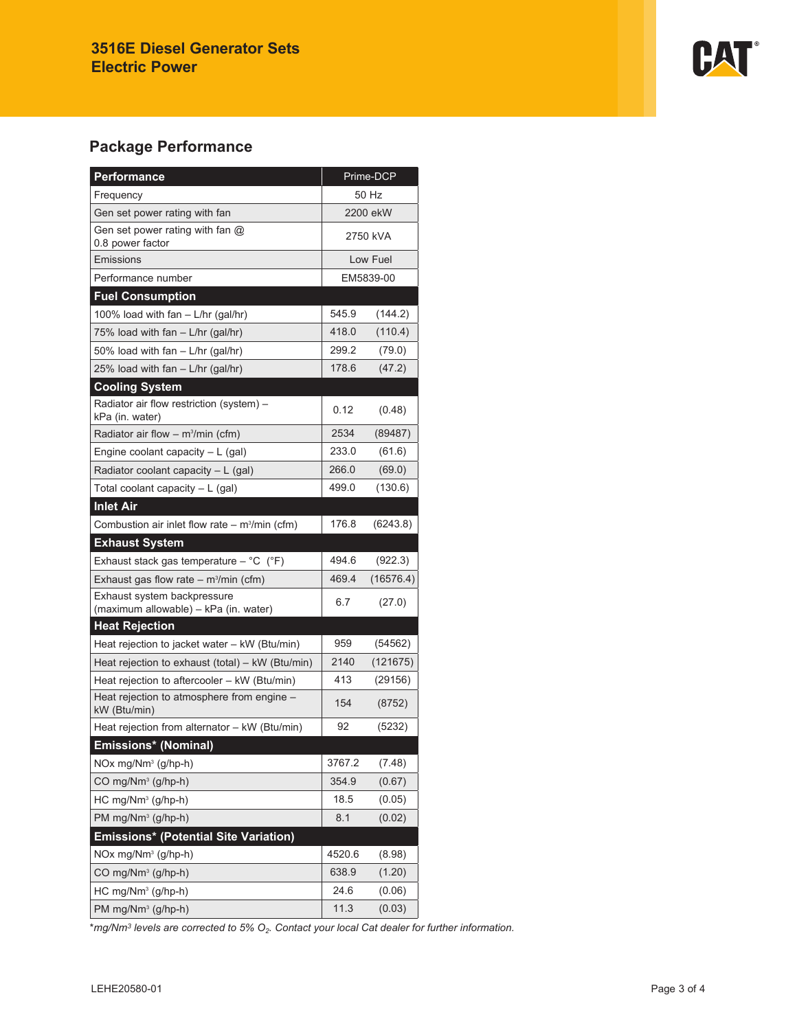

## **Package Performance**

| Performance                                                          |           | Prime-DCP |
|----------------------------------------------------------------------|-----------|-----------|
| Frequency                                                            |           | 50 Hz     |
| Gen set power rating with fan                                        | 2200 ekW  |           |
| Gen set power rating with fan @<br>0.8 power factor                  | 2750 kVA  |           |
| Emissions                                                            | Low Fuel  |           |
| Performance number                                                   | EM5839-00 |           |
| <b>Fuel Consumption</b>                                              |           |           |
| 100% load with fan - L/hr (gal/hr)                                   | 545.9     | (144.2)   |
| 75% load with fan - L/hr (gal/hr)                                    | 418.0     | (110.4)   |
| 50% load with fan - L/hr (gal/hr)                                    | 299.2     | (79.0)    |
| 25% load with fan - L/hr (gal/hr)                                    | 178.6     | (47.2)    |
| <b>Cooling System</b>                                                |           |           |
| Radiator air flow restriction (system) -<br>kPa (in. water)          | 0.12      | (0.48)    |
| Radiator air flow - $m^3/m$ in (cfm)                                 | 2534      | (89487)   |
| Engine coolant capacity $-L$ (gal)                                   | 233.0     | (61.6)    |
| Radiator coolant capacity $-L$ (gal)                                 | 266.0     | (69.0)    |
| Total coolant capacity $- L$ (gal)                                   | 499.0     | (130.6)   |
| <b>Inlet Air</b>                                                     |           |           |
| Combustion air inlet flow rate $-$ m <sup>3</sup> /min (cfm)         | 176.8     | (6243.8)  |
| <b>Exhaust System</b>                                                |           |           |
| Exhaust stack gas temperature - $^{\circ}$ C ( $^{\circ}$ F)         | 494.6     | (922.3)   |
| Exhaust gas flow rate $-$ m <sup>3</sup> /min (cfm)                  | 469.4     | (16576.4) |
| Exhaust system backpressure<br>(maximum allowable) - kPa (in. water) | 6.7       | (27.0)    |
| <b>Heat Rejection</b>                                                |           |           |
| Heat rejection to jacket water - kW (Btu/min)                        | 959       | (54562)   |
| Heat rejection to exhaust (total) - kW (Btu/min)                     | 2140      | (121675)  |
| Heat rejection to aftercooler - kW (Btu/min)                         | 413       | (29156)   |
| Heat rejection to atmosphere from engine -<br>kW (Btu/min)           | 154       | (8752)    |
| Heat rejection from alternator - kW (Btu/min)                        | 92        | (5232)    |
| <b>Emissions* (Nominal)</b>                                          |           |           |
| $NOx$ mg/ $Nm^3$ (g/hp-h)                                            | 3767.2    | (7.48)    |
| CO mg/Nm <sup>3</sup> (g/hp-h)                                       | 354.9     | (0.67)    |
| HC mg/Nm <sup>3</sup> (g/hp-h)                                       | 18.5      | (0.05)    |
| PM mg/Nm <sup>3</sup> (g/hp-h)                                       | 8.1       | (0.02)    |
| <b>Emissions* (Potential Site Variation)</b>                         |           |           |
| NOx mg/Nm <sup>3</sup> (g/hp-h)                                      | 4520.6    | (8.98)    |
| CO mg/Nm <sup>3</sup> (g/hp-h)                                       | 638.9     | (1.20)    |
| HC mg/Nm <sup>3</sup> (g/hp-h)                                       | 24.6      | (0.06)    |
| PM mg/Nm <sup>3</sup> (g/hp-h)                                       | 11.3      | (0.03)    |

\**mg/Nm<sup>3</sup> levels are corrected to 5% O2. Contact your local Cat dealer for further information.*